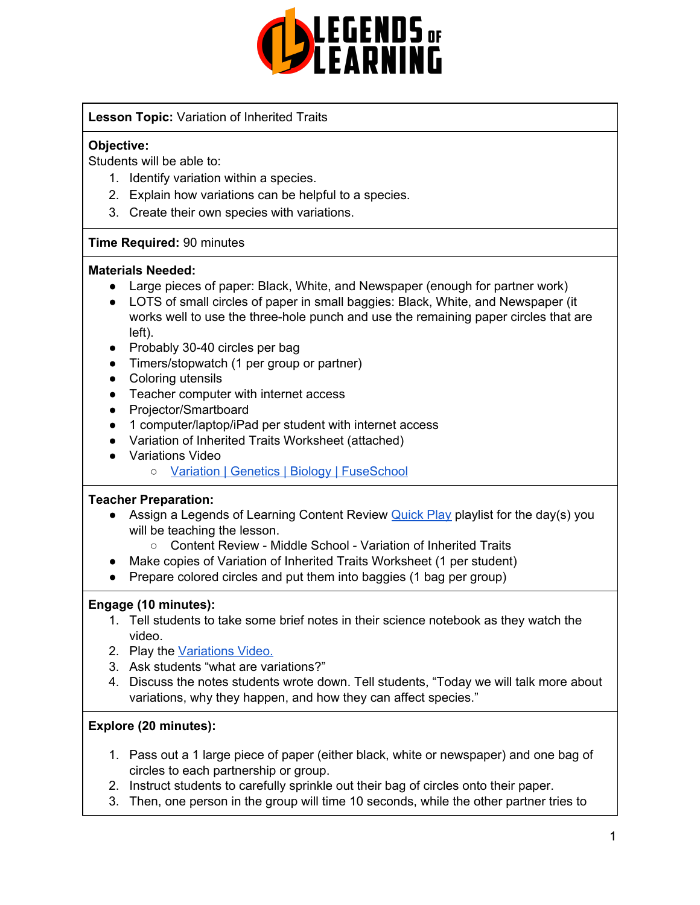

## **Lesson Topic:** Variation of Inherited Traits

## **Objective:**

Students will be able to:

- 1. Identify variation within a species.
- 2. Explain how variations can be helpful to a species.
- 3. Create their own species with variations.

#### **Time Required:** 90 minutes

#### **Materials Needed:**

- Large pieces of paper: Black, White, and Newspaper (enough for partner work)
- LOTS of small circles of paper in small baggies: Black, White, and Newspaper (it works well to use the three-hole punch and use the remaining paper circles that are left).
- Probably 30-40 circles per bag
- Timers/stopwatch (1 per group or partner)
- Coloring utensils
- Teacher computer with internet access
- Projector/Smartboard
- 1 computer/laptop/iPad per student with internet access
- Variation of Inherited Traits Worksheet (attached)
- Variations Video
	- Variation | Genetics | Biology | [FuseSchool](https://www.youtube.com/watch?v=jUHokSPkzT8)

#### **Teacher Preparation:**

- Assign a Legends of Learning Content Review **[Quick](https://intercom.help/legends-of-learning/en/articles/2701866-assigning-a-quick-play-playlist) Play playlist for the day(s)** you will be teaching the lesson.
	- Content Review Middle School Variation of Inherited Traits
	- Make copies of Variation of Inherited Traits Worksheet (1 per student)
- Prepare colored circles and put them into baggies (1 bag per group)

#### **Engage (10 minutes):**

- 1. Tell students to take some brief notes in their science notebook as they watch the video.
- 2. Play the [Variations](https://www.youtube.com/watch?v=jUHokSPkzT8) Video.
- 3. Ask students "what are variations?"
- 4. Discuss the notes students wrote down. Tell students, "Today we will talk more about variations, why they happen, and how they can affect species."

#### **Explore (20 minutes):**

- 1. Pass out a 1 large piece of paper (either black, white or newspaper) and one bag of circles to each partnership or group.
- 2. Instruct students to carefully sprinkle out their bag of circles onto their paper.
- 3. Then, one person in the group will time 10 seconds, while the other partner tries to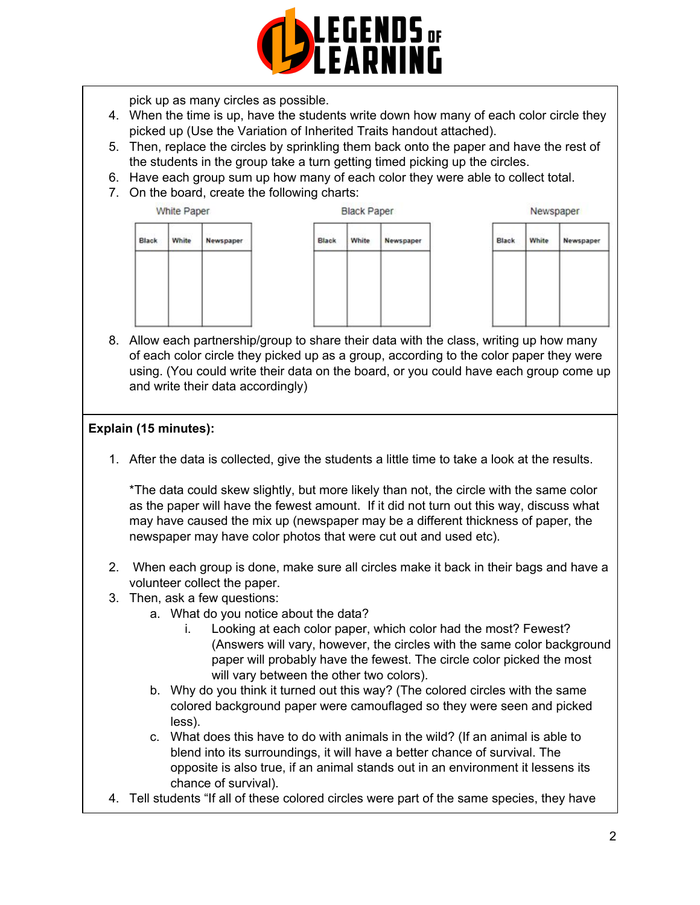

pick up as many circles as possible.

- 4. When the time is up, have the students write down how many of each color circle they picked up (Use the Variation of Inherited Traits handout attached).
- 5. Then, replace the circles by sprinkling them back onto the paper and have the rest of the students in the group take a turn getting timed picking up the circles.
- 6. Have each group sum up how many of each color they were able to collect total.
- 7. On the board, create the following charts:



8. Allow each partnership/group to share their data with the class, writing up how many of each color circle they picked up as a group, according to the color paper they were using. (You could write their data on the board, or you could have each group come up and write their data accordingly)

## **Explain (15 minutes):**

1. After the data is collected, give the students a little time to take a look at the results.

\*The data could skew slightly, but more likely than not, the circle with the same color as the paper will have the fewest amount. If it did not turn out this way, discuss what may have caused the mix up (newspaper may be a different thickness of paper, the newspaper may have color photos that were cut out and used etc).

- 2. When each group is done, make sure all circles make it back in their bags and have a volunteer collect the paper.
- 3. Then, ask a few questions:
	- a. What do you notice about the data?
		- i. Looking at each color paper, which color had the most? Fewest? (Answers will vary, however, the circles with the same color background paper will probably have the fewest. The circle color picked the most will vary between the other two colors).
	- b. Why do you think it turned out this way? (The colored circles with the same colored background paper were camouflaged so they were seen and picked less).
	- c. What does this have to do with animals in the wild? (If an animal is able to blend into its surroundings, it will have a better chance of survival. The opposite is also true, if an animal stands out in an environment it lessens its chance of survival).
- 4. Tell students "If all of these colored circles were part of the same species, they have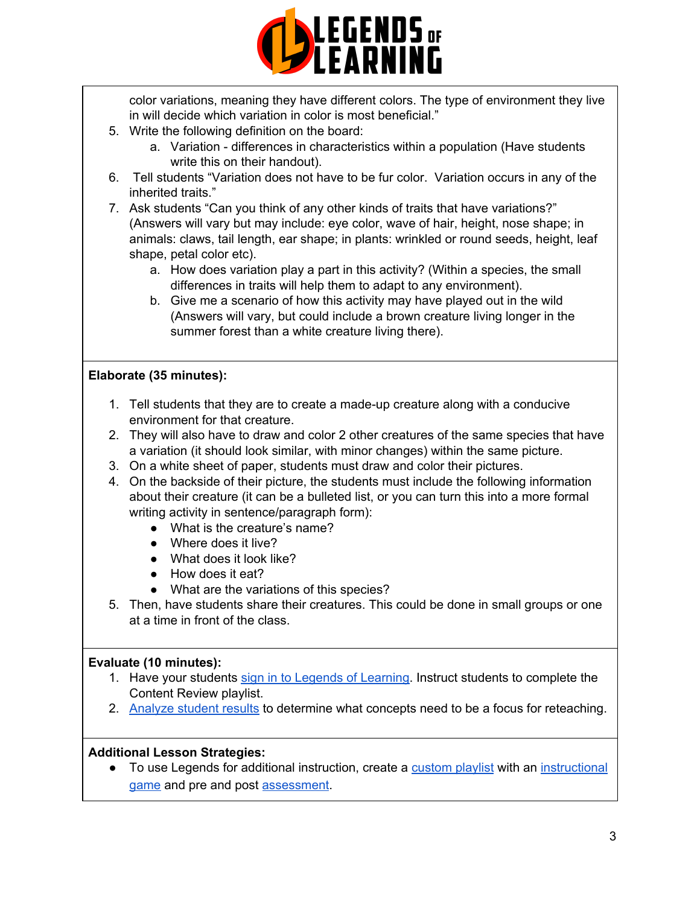

color variations, meaning they have different colors. The type of environment they live in will decide which variation in color is most beneficial."

- 5. Write the following definition on the board:
	- a. Variation differences in characteristics within a population (Have students write this on their handout).
- 6. Tell students "Variation does not have to be fur color. Variation occurs in any of the inherited traits."
- 7. Ask students "Can you think of any other kinds of traits that have variations?" (Answers will vary but may include: eye color, wave of hair, height, nose shape; in animals: claws, tail length, ear shape; in plants: wrinkled or round seeds, height, leaf shape, petal color etc).
	- a. How does variation play a part in this activity? (Within a species, the small differences in traits will help them to adapt to any environment).
	- b. Give me a scenario of how this activity may have played out in the wild (Answers will vary, but could include a brown creature living longer in the summer forest than a white creature living there).

## **Elaborate (35 minutes):**

- 1. Tell students that they are to create a made-up creature along with a conducive environment for that creature.
- 2. They will also have to draw and color 2 other creatures of the same species that have a variation (it should look similar, with minor changes) within the same picture.
- 3. On a white sheet of paper, students must draw and color their pictures.
- 4. On the backside of their picture, the students must include the following information about their creature (it can be a bulleted list, or you can turn this into a more formal writing activity in sentence/paragraph form):
	- What is the creature's name?
	- Where does it live?
	- What does it look like?
	- How does it eat?
	- What are the variations of this species?
- 5. Then, have students share their creatures. This could be done in small groups or one at a time in front of the class.

## **Evaluate (10 minutes):**

- 1. Have your students sign in to Legends of [Learning](https://intercom.help/legends-of-learning/en/articles/2154920-students-joining-a-playlist). Instruct students to complete the Content Review playlist.
- 2. [Analyze](https://intercom.help/legends-of-learning/en/articles/2154918-tracking-student-progress-and-performance) student results to determine what concepts need to be a focus for reteaching.

## **Additional Lesson Strategies:**

● To use Legends for additional instruction, create a [custom](https://intercom.help/legends-of-learning/en/articles/2154910-creating-a-playlist) playlist with an [instructional](https://intercom.help/legends-of-learning/en/articles/3505828-types-of-games) [game](https://intercom.help/legends-of-learning/en/articles/3505828-types-of-games) and pre and post [assessment](https://intercom.help/legends-of-learning/en/articles/2154913-adding-assessments-to-a-playlist).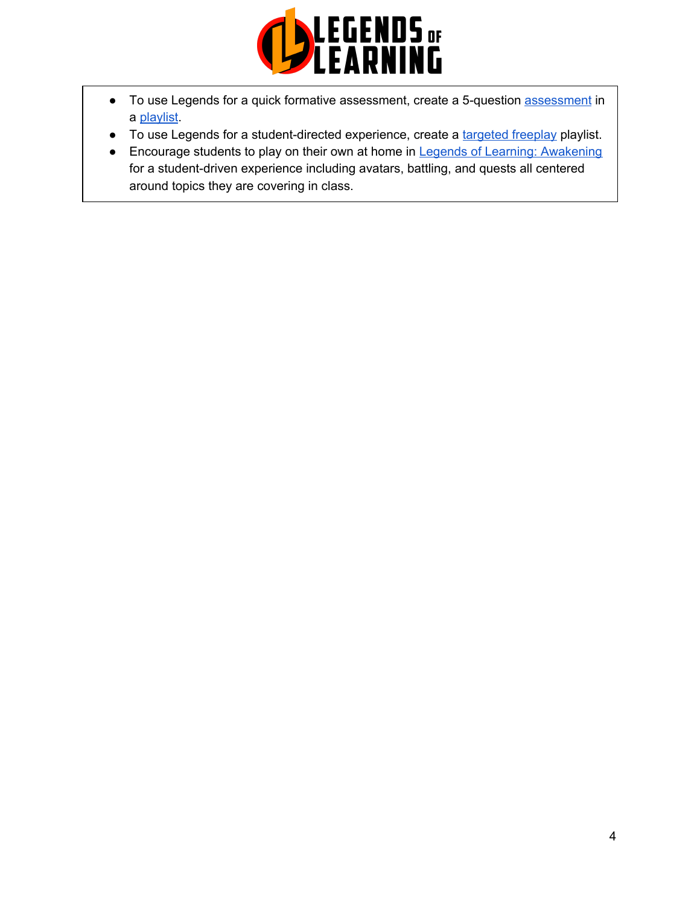

- To use Legends for a quick formative [assessment](https://intercom.help/legends-of-learning/en/articles/2154913-adding-assessments-to-a-playlist), create a 5-question assessment in a [playlist](https://intercom.help/legends-of-learning/en/articles/2154910-creating-a-playlist).
- To use Legends for a student-directed experience, create a [targeted](https://intercom.help/legends-of-learning/en/articles/3340814-targeted-freeplay) freeplay playlist.
- Encourage students to play on their own at home in Legends of Learning: [Awakening](https://intercom.help/legends-of-learning/en/articles/2425490-legends-of-learning-awakening) for a student-driven experience including avatars, battling, and quests all centered around topics they are covering in class.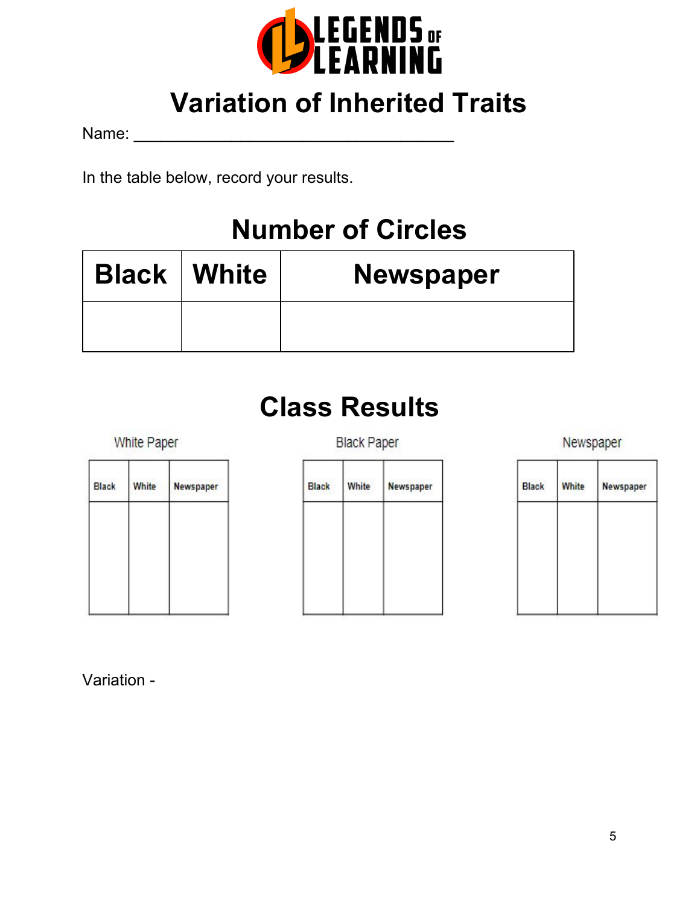

## **Variation of Inherited Traits**

Name:  $\blacksquare$ 

In the table below, record your results.

## **Number of Circles**

| <b>Black   White</b> | <b>Newspaper</b> |
|----------------------|------------------|
|                      |                  |

# **Class Results**

White Paper

Newspaper

| <b>Black</b> | White | Newspaper |  |
|--------------|-------|-----------|--|
|              |       |           |  |
|              |       |           |  |
|              |       |           |  |
|              |       |           |  |
|              |       |           |  |
|              |       |           |  |
|              |       |           |  |

| <b>Black</b> | White | Newspaper |
|--------------|-------|-----------|
|              |       |           |
|              |       |           |
|              |       |           |
|              |       |           |
|              |       |           |
|              |       |           |

| <b>Black</b> | <b>White</b> | Newspaper |
|--------------|--------------|-----------|
|              |              |           |
|              |              |           |
|              |              |           |
|              |              |           |

Variation -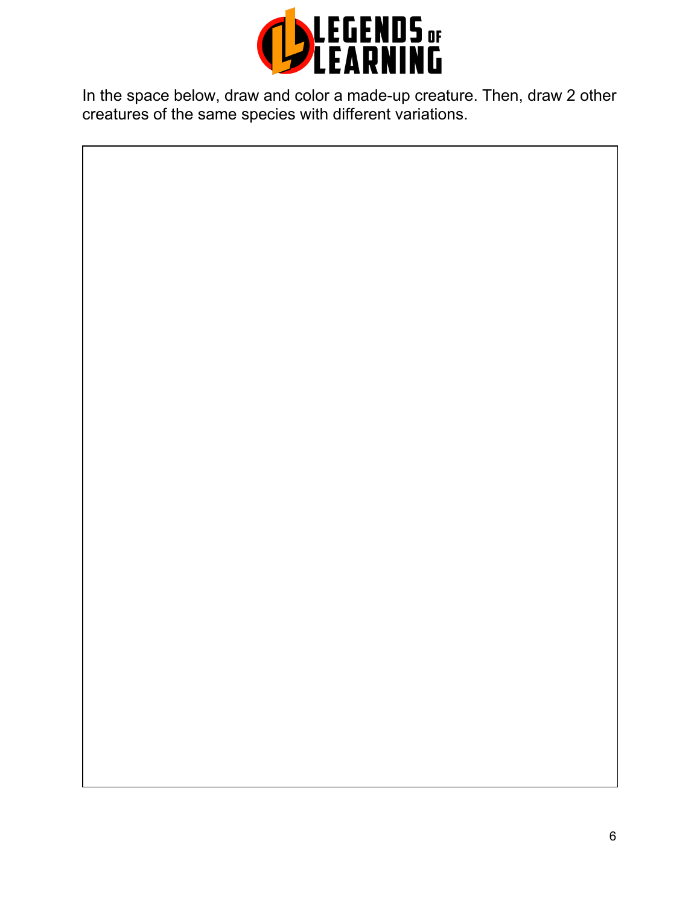

In the space below, draw and color a made-up creature. Then, draw 2 other creatures of the same species with different variations.